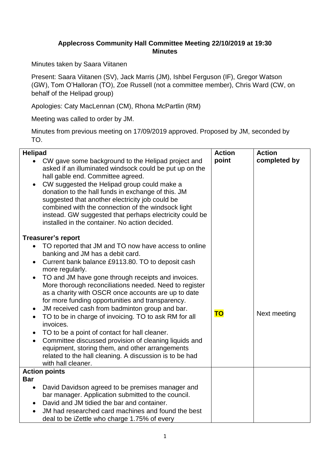## **Applecross Community Hall Committee Meeting 22/10/2019 at 19:30 Minutes**

Minutes taken by Saara Viitanen

Present: Saara Viitanen (SV), Jack Marris (JM), Ishbel Ferguson (IF), Gregor Watson (GW), Tom O'Halloran (TO), Zoe Russell (not a committee member), Chris Ward (CW, on behalf of the Helipad group)

Apologies: Caty MacLennan (CM), Rhona McPartlin (RM)

Meeting was called to order by JM.

Minutes from previous meeting on 17/09/2019 approved. Proposed by JM, seconded by TO.

| <b>Helipad</b>                                                                                                                                                                                                                                                                                                                                                                                                                                                                                                                                                                                                                                                                                                                                                                                                        | <b>Action</b> | <b>Action</b> |
|-----------------------------------------------------------------------------------------------------------------------------------------------------------------------------------------------------------------------------------------------------------------------------------------------------------------------------------------------------------------------------------------------------------------------------------------------------------------------------------------------------------------------------------------------------------------------------------------------------------------------------------------------------------------------------------------------------------------------------------------------------------------------------------------------------------------------|---------------|---------------|
| CW gave some background to the Helipad project and<br>$\bullet$<br>asked if an illuminated windsock could be put up on the<br>hall gable end. Committee agreed.<br>CW suggested the Helipad group could make a<br>donation to the hall funds in exchange of this. JM<br>suggested that another electricity job could be<br>combined with the connection of the windsock light<br>instead. GW suggested that perhaps electricity could be<br>installed in the container. No action decided.                                                                                                                                                                                                                                                                                                                            | point         | completed by  |
| <b>Treasurer's report</b>                                                                                                                                                                                                                                                                                                                                                                                                                                                                                                                                                                                                                                                                                                                                                                                             |               |               |
| TO reported that JM and TO now have access to online<br>banking and JM has a debit card.<br>Current bank balance £9113.80. TO to deposit cash<br>$\bullet$<br>more regularly.<br>TO and JM have gone through receipts and invoices.<br>More thorough reconciliations needed. Need to register<br>as a charity with OSCR once accounts are up to date<br>for more funding opportunities and transparency.<br>JM received cash from badminton group and bar.<br>$\bullet$<br>TO to be in charge of invoicing. TO to ask RM for all<br>$\bullet$<br>invoices.<br>TO to be a point of contact for hall cleaner.<br>Committee discussed provision of cleaning liquids and<br>$\bullet$<br>equipment, storing them, and other arrangements<br>related to the hall cleaning. A discussion is to be had<br>with hall cleaner. | <b>TO</b>     | Next meeting  |
| <b>Action points</b>                                                                                                                                                                                                                                                                                                                                                                                                                                                                                                                                                                                                                                                                                                                                                                                                  |               |               |
| <b>Bar</b><br>David Davidson agreed to be premises manager and<br>bar manager. Application submitted to the council.<br>David and JM tidied the bar and container.<br>JM had researched card machines and found the best<br>deal to be iZettle who charge 1.75% of every                                                                                                                                                                                                                                                                                                                                                                                                                                                                                                                                              |               |               |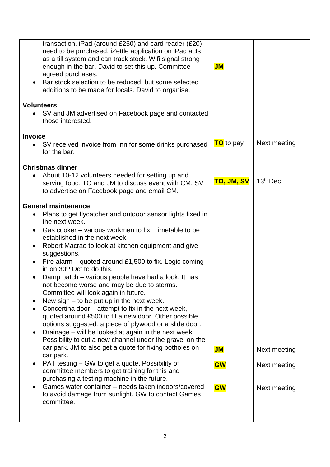| transaction. iPad (around £250) and card reader (£20)<br>need to be purchased. iZettle application on iPad acts<br>as a till system and can track stock. Wifi signal strong<br>enough in the bar. David to set this up. Committee<br>agreed purchases.<br>Bar stock selection to be reduced, but some selected<br>additions to be made for locals. David to organise.                                                                                                                                                                                                                                                                                                                                                                                                                                                                                                                                                                                                                                                                                                                                                                                                                                                                                                                                            | $J$ M                           |                                              |
|------------------------------------------------------------------------------------------------------------------------------------------------------------------------------------------------------------------------------------------------------------------------------------------------------------------------------------------------------------------------------------------------------------------------------------------------------------------------------------------------------------------------------------------------------------------------------------------------------------------------------------------------------------------------------------------------------------------------------------------------------------------------------------------------------------------------------------------------------------------------------------------------------------------------------------------------------------------------------------------------------------------------------------------------------------------------------------------------------------------------------------------------------------------------------------------------------------------------------------------------------------------------------------------------------------------|---------------------------------|----------------------------------------------|
| <b>Volunteers</b><br>SV and JM advertised on Facebook page and contacted<br>$\bullet$<br>those interested.                                                                                                                                                                                                                                                                                                                                                                                                                                                                                                                                                                                                                                                                                                                                                                                                                                                                                                                                                                                                                                                                                                                                                                                                       |                                 |                                              |
| <b>Invoice</b><br>SV received invoice from Inn for some drinks purchased<br>$\bullet$<br>for the bar.                                                                                                                                                                                                                                                                                                                                                                                                                                                                                                                                                                                                                                                                                                                                                                                                                                                                                                                                                                                                                                                                                                                                                                                                            | <b>TO</b> to pay                | Next meeting                                 |
| <b>Christmas dinner</b><br>About 10-12 volunteers needed for setting up and<br>$\bullet$<br>serving food. TO and JM to discuss event with CM. SV<br>to advertise on Facebook page and email CM.                                                                                                                                                                                                                                                                                                                                                                                                                                                                                                                                                                                                                                                                                                                                                                                                                                                                                                                                                                                                                                                                                                                  | <b>TO, JM, SV</b>               | 13 <sup>th</sup> Dec                         |
| <b>General maintenance</b><br>Plans to get flycatcher and outdoor sensor lights fixed in<br>٠<br>the next week.<br>Gas cooker – various workmen to fix. Timetable to be<br>$\bullet$<br>established in the next week.<br>Robert Macrae to look at kitchen equipment and give<br>$\bullet$<br>suggestions.<br>Fire alarm – quoted around £1,500 to fix. Logic coming<br>$\bullet$<br>in on 30 <sup>th</sup> Oct to do this.<br>Damp patch - various people have had a look. It has<br>not become worse and may be due to storms.<br>Committee will look again in future.<br>New sign $-$ to be put up in the next week.<br>Concertina door - attempt to fix in the next week,<br>$\bullet$<br>quoted around £500 to fit a new door. Other possible<br>options suggested: a piece of plywood or a slide door.<br>Drainage – will be looked at again in the next week.<br>$\bullet$<br>Possibility to cut a new channel under the gravel on the<br>car park. JM to also get a quote for fixing potholes on<br>car park.<br>PAT testing – GW to get a quote. Possibility of<br>$\bullet$<br>committee members to get training for this and<br>purchasing a testing machine in the future.<br>Games water container – needs taken indoors/covered<br>to avoid damage from sunlight. GW to contact Games<br>committee. | $J$ M<br><b>GW</b><br><b>GW</b> | Next meeting<br>Next meeting<br>Next meeting |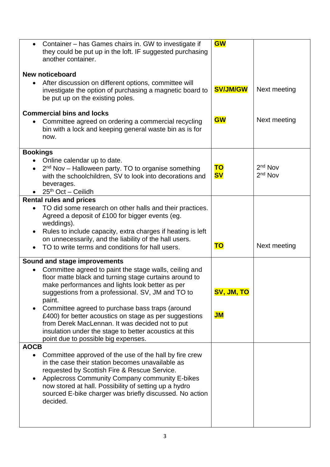| Container – has Games chairs in. GW to investigate if<br>$\bullet$<br>they could be put up in the loft. IF suggested purchasing<br>another container.                                                                                                                                                                                                                                                                                                                                                                                                                | <b>GW</b>        |                                  |
|----------------------------------------------------------------------------------------------------------------------------------------------------------------------------------------------------------------------------------------------------------------------------------------------------------------------------------------------------------------------------------------------------------------------------------------------------------------------------------------------------------------------------------------------------------------------|------------------|----------------------------------|
| <b>New noticeboard</b><br>After discussion on different options, committee will<br>investigate the option of purchasing a magnetic board to<br>be put up on the existing poles.                                                                                                                                                                                                                                                                                                                                                                                      | <b>SV/JM/GW</b>  | Next meeting                     |
| <b>Commercial bins and locks</b><br>Committee agreed on ordering a commercial recycling<br>bin with a lock and keeping general waste bin as is for<br>now.                                                                                                                                                                                                                                                                                                                                                                                                           | <b>GW</b>        | Next meeting                     |
| <b>Bookings</b><br>Online calendar up to date.<br>2 <sup>nd</sup> Nov - Halloween party. TO to organise something<br>$\bullet$<br>with the schoolchildren, SV to look into decorations and<br>beverages.<br>$25th$ Oct - Ceilidh                                                                                                                                                                                                                                                                                                                                     | ΤO<br><b>SV</b>  | $2nd$ Nov<br>2 <sup>nd</sup> Nov |
| <b>Rental rules and prices</b><br>TO did some research on other halls and their practices.<br>$\bullet$<br>Agreed a deposit of £100 for bigger events (eg.<br>weddings).<br>Rules to include capacity, extra charges if heating is left<br>$\bullet$<br>on unnecessarily, and the liability of the hall users.<br>TO to write terms and conditions for hall users.<br>$\bullet$                                                                                                                                                                                      | <b>TO</b>        | Next meeting                     |
| <b>Sound and stage improvements</b><br>Committee agreed to paint the stage walls, ceiling and<br>$\bullet$<br>floor matte black and turning stage curtains around to<br>make performances and lights look better as per<br>suggestions from a professional. SV, JM and TO to<br>paint.<br>Committee agreed to purchase bass traps (around<br>$\bullet$<br>£400) for better acoustics on stage as per suggestions<br>from Derek MacLennan. It was decided not to put<br>insulation under the stage to better acoustics at this<br>point due to possible big expenses. | SV, JM, TO<br>JM |                                  |
| <b>AOCB</b><br>Committee approved of the use of the hall by fire crew<br>$\bullet$<br>in the case their station becomes unavailable as<br>requested by Scottish Fire & Rescue Service.<br>Applecross Community Company community E-bikes<br>$\bullet$<br>now stored at hall. Possibility of setting up a hydro<br>sourced E-bike charger was briefly discussed. No action<br>decided.                                                                                                                                                                                |                  |                                  |